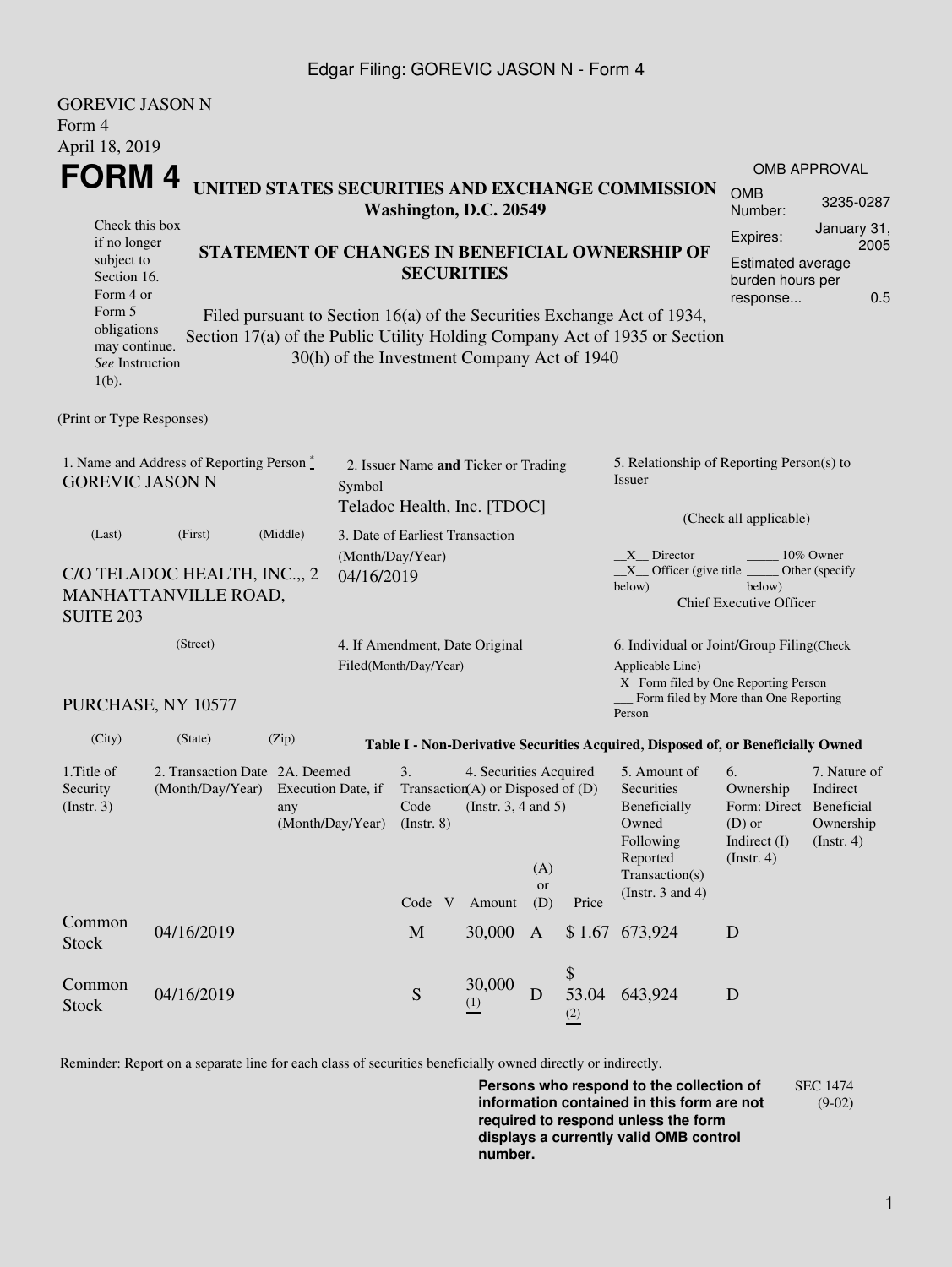### Edgar Filing: GOREVIC JASON N - Form 4

| <b>GOREVIC JASON N</b>                                                                                                                                                                                                                                                                    |                                                                            |                                                                      |                                                                     |                                 |                                                                                           |                                                                                                                                                     |                    |                                                                                                         |                                                                                       |                                                           |  |
|-------------------------------------------------------------------------------------------------------------------------------------------------------------------------------------------------------------------------------------------------------------------------------------------|----------------------------------------------------------------------------|----------------------------------------------------------------------|---------------------------------------------------------------------|---------------------------------|-------------------------------------------------------------------------------------------|-----------------------------------------------------------------------------------------------------------------------------------------------------|--------------------|---------------------------------------------------------------------------------------------------------|---------------------------------------------------------------------------------------|-----------------------------------------------------------|--|
| Form 4                                                                                                                                                                                                                                                                                    |                                                                            |                                                                      |                                                                     |                                 |                                                                                           |                                                                                                                                                     |                    |                                                                                                         |                                                                                       |                                                           |  |
| April 18, 2019                                                                                                                                                                                                                                                                            |                                                                            |                                                                      |                                                                     |                                 |                                                                                           |                                                                                                                                                     |                    |                                                                                                         |                                                                                       |                                                           |  |
| FORM 4                                                                                                                                                                                                                                                                                    |                                                                            |                                                                      |                                                                     |                                 |                                                                                           |                                                                                                                                                     |                    |                                                                                                         |                                                                                       | <b>OMB APPROVAL</b>                                       |  |
|                                                                                                                                                                                                                                                                                           | UNITED STATES SECURITIES AND EXCHANGE COMMISSION<br>Washington, D.C. 20549 |                                                                      |                                                                     |                                 |                                                                                           |                                                                                                                                                     |                    |                                                                                                         | <b>OMB</b><br>Number:                                                                 | 3235-0287                                                 |  |
| Check this box<br>if no longer                                                                                                                                                                                                                                                            |                                                                            |                                                                      |                                                                     |                                 |                                                                                           |                                                                                                                                                     | Expires:           | January 31,<br>2005                                                                                     |                                                                                       |                                                           |  |
| subject to<br>Section 16.<br>Form 4 or                                                                                                                                                                                                                                                    |                                                                            | STATEMENT OF CHANGES IN BENEFICIAL OWNERSHIP OF<br><b>SECURITIES</b> |                                                                     |                                 |                                                                                           |                                                                                                                                                     |                    |                                                                                                         |                                                                                       |                                                           |  |
| response<br>Form 5<br>Filed pursuant to Section 16(a) of the Securities Exchange Act of 1934,<br>obligations<br>Section 17(a) of the Public Utility Holding Company Act of 1935 or Section<br>may continue.<br>30(h) of the Investment Company Act of 1940<br>See Instruction<br>$1(b)$ . |                                                                            |                                                                      |                                                                     |                                 |                                                                                           |                                                                                                                                                     |                    |                                                                                                         |                                                                                       |                                                           |  |
| (Print or Type Responses)                                                                                                                                                                                                                                                                 |                                                                            |                                                                      |                                                                     |                                 |                                                                                           |                                                                                                                                                     |                    |                                                                                                         |                                                                                       |                                                           |  |
| 1. Name and Address of Reporting Person *<br><b>GOREVIC JASON N</b>                                                                                                                                                                                                                       | Symbol                                                                     |                                                                      | 2. Issuer Name and Ticker or Trading<br>Teladoc Health, Inc. [TDOC] |                                 |                                                                                           | 5. Relationship of Reporting Person(s) to<br>Issuer<br>(Check all applicable)                                                                       |                    |                                                                                                         |                                                                                       |                                                           |  |
| (Last)                                                                                                                                                                                                                                                                                    | (First)                                                                    | (Middle)                                                             |                                                                     | 3. Date of Earliest Transaction |                                                                                           |                                                                                                                                                     |                    |                                                                                                         |                                                                                       |                                                           |  |
| C/O TELADOC HEALTH, INC.,, 2<br>MANHATTANVILLE ROAD,<br><b>SUITE 203</b>                                                                                                                                                                                                                  | (Month/Day/Year)<br>04/16/2019                                             |                                                                      |                                                                     |                                 |                                                                                           | X Director<br>10% Owner<br>$X$ Officer (give title $\overline{\phantom{a}}$<br>Other (specify<br>below)<br>below)<br><b>Chief Executive Officer</b> |                    |                                                                                                         |                                                                                       |                                                           |  |
|                                                                                                                                                                                                                                                                                           | (Street)                                                                   | 4. If Amendment, Date Original<br>Filed(Month/Day/Year)              |                                                                     |                                 |                                                                                           |                                                                                                                                                     |                    | 6. Individual or Joint/Group Filing(Check<br>Applicable Line)<br>_X_ Form filed by One Reporting Person |                                                                                       |                                                           |  |
|                                                                                                                                                                                                                                                                                           | PURCHASE, NY 10577                                                         |                                                                      |                                                                     |                                 |                                                                                           |                                                                                                                                                     |                    | Form filed by More than One Reporting<br>Person                                                         |                                                                                       |                                                           |  |
| (City)                                                                                                                                                                                                                                                                                    | (State)                                                                    | (Zip)                                                                |                                                                     |                                 |                                                                                           |                                                                                                                                                     |                    | Table I - Non-Derivative Securities Acquired, Disposed of, or Beneficially Owned                        |                                                                                       |                                                           |  |
| 1.Title of<br>2. Transaction Date 2A. Deemed<br>Security<br>(Month/Day/Year)<br>Execution Date, if<br>(Insert. 3)<br>any<br>(Month/Day/Year)                                                                                                                                              |                                                                            |                                                                      |                                                                     | 3.<br>Code<br>(Insert. 8)       | 4. Securities Acquired<br>Transaction(A) or Disposed of $(D)$<br>(Instr. $3, 4$ and $5$ ) |                                                                                                                                                     |                    | 5. Amount of<br>Securities<br>Beneficially<br>Owned<br>Following<br>Reported                            | 6.<br>Ownership<br>Form: Direct Beneficial<br>$(D)$ or<br>Indirect (I)<br>(Insert. 4) | 7. Nature of<br>Indirect<br>Ownership<br>$($ Instr. 4 $)$ |  |
|                                                                                                                                                                                                                                                                                           |                                                                            |                                                                      |                                                                     | Code V                          | Amount                                                                                    | (A)<br><b>or</b><br>(D)                                                                                                                             | Price              | Transaction(s)<br>(Instr. $3$ and $4$ )                                                                 |                                                                                       |                                                           |  |
| Common<br><b>Stock</b>                                                                                                                                                                                                                                                                    | 04/16/2019                                                                 |                                                                      |                                                                     | $\mathbf{M}$                    | 30,000                                                                                    | $\mathbf{A}$                                                                                                                                        | \$1.67             | 673,924                                                                                                 | D                                                                                     |                                                           |  |
| Common<br><b>Stock</b>                                                                                                                                                                                                                                                                    | 04/16/2019                                                                 |                                                                      |                                                                     | S                               | 30,000<br>$\frac{(1)}{2}$                                                                 | D                                                                                                                                                   | \$<br>53.04<br>(2) | 643,924                                                                                                 | D                                                                                     |                                                           |  |

Reminder: Report on a separate line for each class of securities beneficially owned directly or indirectly.

**Persons who respond to the collection of information contained in this form are not required to respond unless the form displays a currently valid OMB control number.** SEC 1474 (9-02)